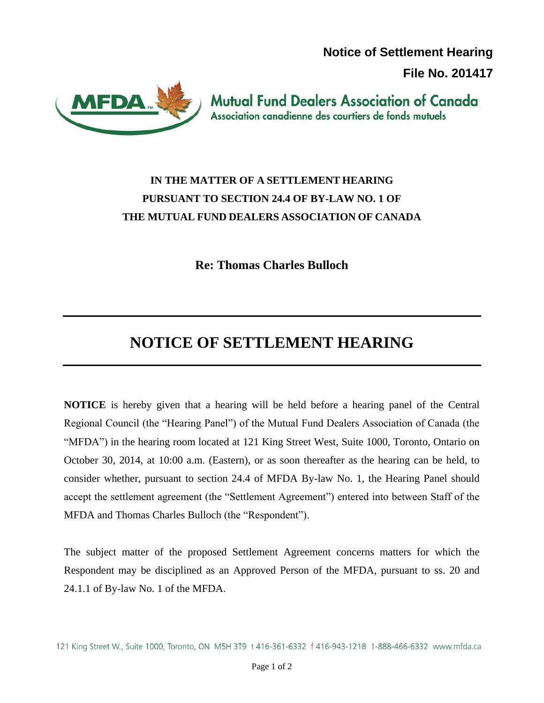**Notice of Settlement Hearing** 

**File No. 201417**



**Mutual Fund Dealers Association of Canada** Association canadienne des courtiers de fonds mutuels

## **IN THE MATTER OF A SETTLEMENT HEARING PURSUANT TO SECTION 24.4 OF BY-LAW NO. 1 OF THE MUTUAL FUND DEALERS ASSOCIATION OF CANADA**

**Re: Thomas Charles Bulloch**

## **NOTICE OF SETTLEMENT HEARING**

**NOTICE** is hereby given that a hearing will be held before a hearing panel of the Central Regional Council (the "Hearing Panel") of the Mutual Fund Dealers Association of Canada (the "MFDA") in the hearing room located at 121 King Street West, Suite 1000, Toronto, Ontario on October 30, 2014, at 10:00 a.m. (Eastern), or as soon thereafter as the hearing can be held, to consider whether, pursuant to section 24.4 of MFDA By-law No. 1, the Hearing Panel should accept the settlement agreement (the "Settlement Agreement") entered into between Staff of the MFDA and Thomas Charles Bulloch (the "Respondent").

The subject matter of the proposed Settlement Agreement concerns matters for which the Respondent may be disciplined as an Approved Person of the MFDA, pursuant to ss. 20 and 24.1.1 of By-law No. 1 of the MFDA.

<sup>121</sup> King Street W., Suite 1000, Toronto, ON M5H 3T9 t 416-361-6332 f 416-943-1218 1-888-466-6332 www.mfda.ca